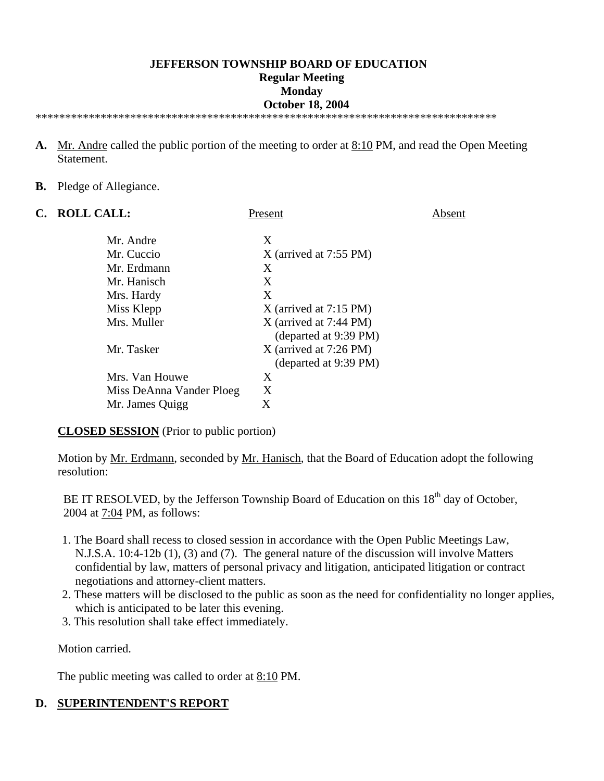#### **JEFFERSON TOWNSHIP BOARD OF EDUCATION Regular Meeting Monday October 18, 2004**  \*\*\*\*\*\*\*\*\*\*\*\*\*\*\*\*\*\*\*\*\*\*\*\*\*\*\*\*\*\*\*\*\*\*\*\*\*\*\*\*\*\*\*\*\*\*\*\*\*\*\*\*\*\*\*\*\*\*\*\*\*\*\*\*\*\*\*\*\*\*\*\*\*\*\*\*\*\*

- **A.** Mr. Andre called the public portion of the meeting to order at 8:10 PM, and read the Open Meeting Statement.
- **B.** Pledge of Allegiance.

| C. | <b>ROLL CALL:</b>        | Present                                           | bsent |
|----|--------------------------|---------------------------------------------------|-------|
|    | Mr. Andre                | X                                                 |       |
|    | Mr. Cuccio               | $X$ (arrived at 7:55 PM)                          |       |
|    | Mr. Erdmann              | X                                                 |       |
|    | Mr. Hanisch              | X                                                 |       |
|    | Mrs. Hardy               | X                                                 |       |
|    | Miss Klepp               | $X$ (arrived at 7:15 PM)                          |       |
|    | Mrs. Muller              | $X$ (arrived at 7:44 PM)<br>(departed at 9:39 PM) |       |
|    | Mr. Tasker               | $X$ (arrived at 7:26 PM)<br>(departed at 9:39 PM) |       |
|    | Mrs. Van Houwe           | X                                                 |       |
|    | Miss DeAnna Vander Ploeg | X                                                 |       |
|    | Mr. James Quigg          | X                                                 |       |

**CLOSED SESSION** (Prior to public portion)

Motion by <u>Mr. Erdmann</u>, seconded by <u>Mr. Hanisch</u>, that the Board of Education adopt the following resolution:

BE IT RESOLVED, by the Jefferson Township Board of Education on this  $18<sup>th</sup>$  day of October, 2004 at 7:04 PM, as follows:

- 1. The Board shall recess to closed session in accordance with the Open Public Meetings Law, N.J.S.A. 10:4-12b (1), (3) and (7). The general nature of the discussion will involve Matters confidential by law, matters of personal privacy and litigation, anticipated litigation or contract negotiations and attorney-client matters.
- 2. These matters will be disclosed to the public as soon as the need for confidentiality no longer applies, which is anticipated to be later this evening.
- 3. This resolution shall take effect immediately.

Motion carried.

The public meeting was called to order at 8:10 PM.

### **D. SUPERINTENDENT'S REPORT**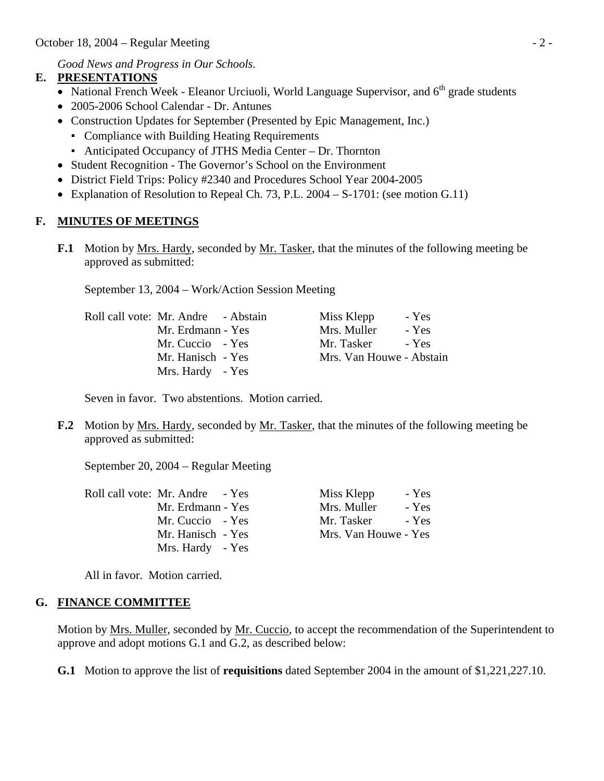*Good News and Progress in Our Schools*.

## **E. PRESENTATIONS**

- National French Week Eleanor Urciuoli, World Language Supervisor, and  $6<sup>th</sup>$  grade students
- 2005-2006 School Calendar Dr. Antunes
- Construction Updates for September (Presented by Epic Management, Inc.)
	- Compliance with Building Heating Requirements
	- Anticipated Occupancy of JTHS Media Center Dr. Thornton
- Student Recognition The Governor's School on the Environment
- District Field Trips: Policy #2340 and Procedures School Year 2004-2005
- Explanation of Resolution to Repeal Ch. 73, P.L. 2004 S-1701: (see motion G.11)

# **F. MINUTES OF MEETINGS**

**F.1** Motion by Mrs. Hardy, seconded by Mr. Tasker, that the minutes of the following meeting be approved as submitted:

September 13, 2004 – Work/Action Session Meeting

| Roll call vote: Mr. Andre - Abstain | Miss Klepp<br>- Yes      |
|-------------------------------------|--------------------------|
| Mr. Erdmann - Yes                   | Mrs. Muller<br>- Yes     |
| Mr. Cuccio - Yes                    | Mr. Tasker<br>- Yes      |
| Mr. Hanisch - Yes                   | Mrs. Van Houwe - Abstain |
| Mrs. Hardy - Yes                    |                          |
|                                     |                          |

Seven in favor. Two abstentions. Motion carried.

**F.2** Motion by Mrs. Hardy, seconded by Mr. Tasker, that the minutes of the following meeting be approved as submitted:

September 20, 2004 – Regular Meeting

| Roll call vote: Mr. Andre - Yes | Miss Klepp           | - Yes |
|---------------------------------|----------------------|-------|
| Mr. Erdmann - Yes               | Mrs. Muller          | - Yes |
| Mr. Cuccio - Yes                | Mr. Tasker           | - Yes |
| Mr. Hanisch - Yes               | Mrs. Van Houwe - Yes |       |
| Mrs. Hardy - Yes                |                      |       |

All in favor. Motion carried.

## **G. FINANCE COMMITTEE**

 Motion by Mrs. Muller, seconded by Mr. Cuccio, to accept the recommendation of the Superintendent to approve and adopt motions G.1 and G.2, as described below:

 **G.1** Motion to approve the list of **requisitions** dated September 2004 in the amount of \$1,221,227.10.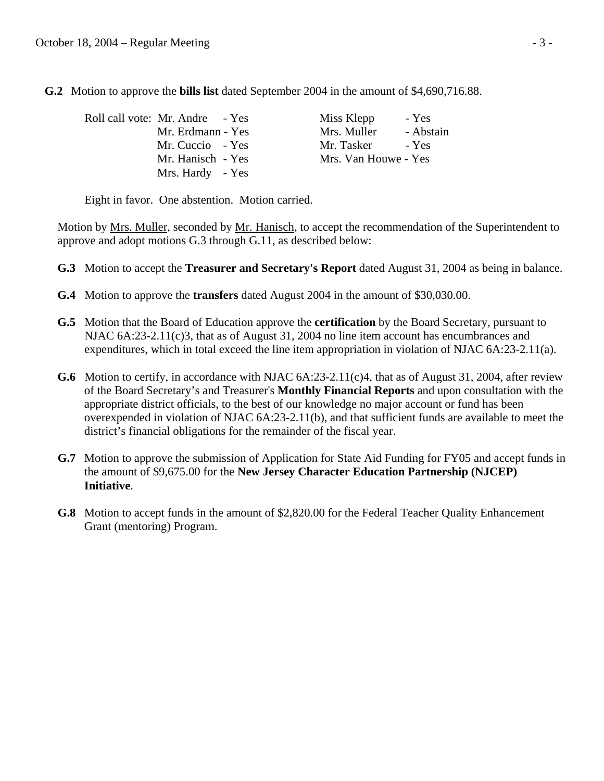**G.2** Motion to approve the **bills list** dated September 2004 in the amount of \$4,690,716.88.

| Roll call vote: Mr. Andre - Yes | Miss Klepp<br>- Yes      |
|---------------------------------|--------------------------|
| Mr. Erdmann - Yes               | Mrs. Muller<br>- Abstain |
| Mr. Cuccio - Yes                | Mr. Tasker<br>- Yes      |
| Mr. Hanisch - Yes               | Mrs. Van Houwe - Yes     |
| Mrs. Hardy - Yes                |                          |

Eight in favor. One abstention. Motion carried.

 Motion by Mrs. Muller, seconded by Mr. Hanisch, to accept the recommendation of the Superintendent to approve and adopt motions G.3 through G.11, as described below:

- **G.3** Motion to accept the **Treasurer and Secretary's Report** dated August 31, 2004 as being in balance.
- **G.4** Motion to approve the **transfers** dated August 2004 in the amount of \$30,030.00.
- **G.5** Motion that the Board of Education approve the **certification** by the Board Secretary, pursuant to NJAC 6A:23-2.11(c)3, that as of August 31, 2004 no line item account has encumbrances and expenditures, which in total exceed the line item appropriation in violation of NJAC 6A:23-2.11(a).
- **G.6** Motion to certify, in accordance with NJAC 6A:23-2.11(c)4, that as of August 31, 2004, after review of the Board Secretary's and Treasurer's **Monthly Financial Reports** and upon consultation with the appropriate district officials, to the best of our knowledge no major account or fund has been overexpended in violation of NJAC 6A:23-2.11(b), and that sufficient funds are available to meet the district's financial obligations for the remainder of the fiscal year.
- **G.7** Motion to approve the submission of Application for State Aid Funding for FY05 and accept funds in the amount of \$9,675.00 for the **New Jersey Character Education Partnership (NJCEP) Initiative**.
- **G.8** Motion to accept funds in the amount of \$2,820.00 for the Federal Teacher Quality Enhancement Grant (mentoring) Program.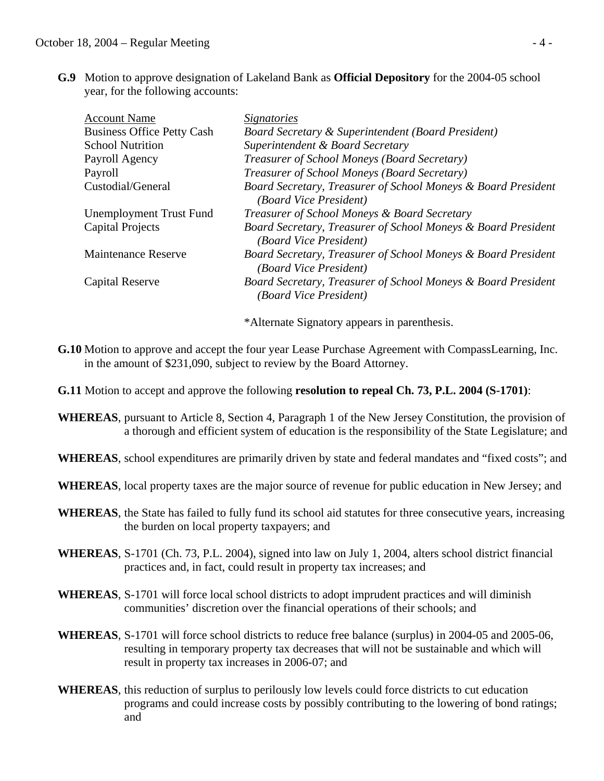**G.9** Motion to approve designation of Lakeland Bank as **Official Depository** for the 2004-05 school year, for the following accounts:

| <b>Account Name</b>               | <i>Signatories</i>                                                                      |
|-----------------------------------|-----------------------------------------------------------------------------------------|
| <b>Business Office Petty Cash</b> | <b>Board Secretary &amp; Superintendent (Board President)</b>                           |
| <b>School Nutrition</b>           | Superintendent & Board Secretary                                                        |
| Payroll Agency                    | Treasurer of School Moneys (Board Secretary)                                            |
| Payroll                           | Treasurer of School Moneys (Board Secretary)                                            |
| Custodial/General                 | Board Secretary, Treasurer of School Moneys & Board President<br>(Board Vice President) |
| <b>Unemployment Trust Fund</b>    | Treasurer of School Moneys & Board Secretary                                            |
| Capital Projects                  | Board Secretary, Treasurer of School Moneys & Board President<br>(Board Vice President) |
| <b>Maintenance Reserve</b>        | Board Secretary, Treasurer of School Moneys & Board President<br>(Board Vice President) |
| Capital Reserve                   | Board Secretary, Treasurer of School Moneys & Board President<br>(Board Vice President) |
|                                   |                                                                                         |

\*Alternate Signatory appears in parenthesis.

- **G.10** Motion to approve and accept the four year Lease Purchase Agreement with CompassLearning, Inc. in the amount of \$231,090, subject to review by the Board Attorney.
- **G.11** Motion to accept and approve the following **resolution to repeal Ch. 73, P.L. 2004 (S-1701)**:
- **WHEREAS**, pursuant to Article 8, Section 4, Paragraph 1 of the New Jersey Constitution, the provision of a thorough and efficient system of education is the responsibility of the State Legislature; and
- **WHEREAS**, school expenditures are primarily driven by state and federal mandates and "fixed costs"; and
- **WHEREAS**, local property taxes are the major source of revenue for public education in New Jersey; and
- **WHEREAS**, the State has failed to fully fund its school aid statutes for three consecutive years, increasing the burden on local property taxpayers; and
- **WHEREAS**, S-1701 (Ch. 73, P.L. 2004), signed into law on July 1, 2004, alters school district financial practices and, in fact, could result in property tax increases; and
- **WHEREAS**, S-1701 will force local school districts to adopt imprudent practices and will diminish communities' discretion over the financial operations of their schools; and
- **WHEREAS**, S-1701 will force school districts to reduce free balance (surplus) in 2004-05 and 2005-06, resulting in temporary property tax decreases that will not be sustainable and which will result in property tax increases in 2006-07; and
- **WHEREAS**, this reduction of surplus to perilously low levels could force districts to cut education programs and could increase costs by possibly contributing to the lowering of bond ratings; and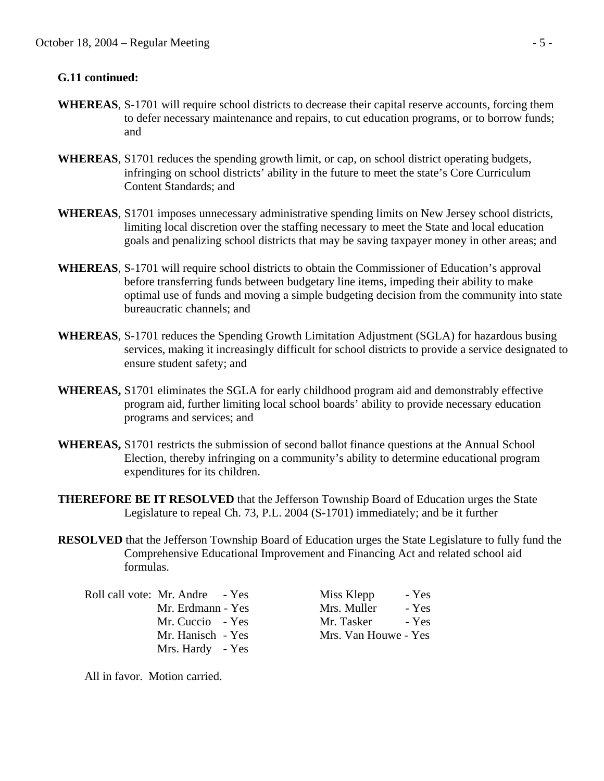#### **G.11 continued:**

- **WHEREAS**, S-1701 will require school districts to decrease their capital reserve accounts, forcing them to defer necessary maintenance and repairs, to cut education programs, or to borrow funds; and
- **WHEREAS**, S1701 reduces the spending growth limit, or cap, on school district operating budgets, infringing on school districts' ability in the future to meet the state's Core Curriculum Content Standards; and
- **WHEREAS**, S1701 imposes unnecessary administrative spending limits on New Jersey school districts, limiting local discretion over the staffing necessary to meet the State and local education goals and penalizing school districts that may be saving taxpayer money in other areas; and
- **WHEREAS**, S-1701 will require school districts to obtain the Commissioner of Education's approval before transferring funds between budgetary line items, impeding their ability to make optimal use of funds and moving a simple budgeting decision from the community into state bureaucratic channels; and
- **WHEREAS**, S-1701 reduces the Spending Growth Limitation Adjustment (SGLA) for hazardous busing services, making it increasingly difficult for school districts to provide a service designated to ensure student safety; and
- **WHEREAS,** S1701 eliminates the SGLA for early childhood program aid and demonstrably effective program aid, further limiting local school boards' ability to provide necessary education programs and services; and
- **WHEREAS,** S1701 restricts the submission of second ballot finance questions at the Annual School Election, thereby infringing on a community's ability to determine educational program expenditures for its children.
- **THEREFORE BE IT RESOLVED** that the Jefferson Township Board of Education urges the State Legislature to repeal Ch. 73, P.L. 2004 (S-1701) immediately; and be it further
- **RESOLVED** that the Jefferson Township Board of Education urges the State Legislature to fully fund the Comprehensive Educational Improvement and Financing Act and related school aid formulas.

Roll call vote: Mr. Andre - Yes Miss Klepp - Yes Mrs. Hardy - Yes

Mr. Erdmann - Yes Mrs. Muller - Yes Mr. Cuccio - Yes Mr. Tasker - Yes Mr. Hanisch - Yes Mrs. Van Houwe - Yes

All in favor. Motion carried.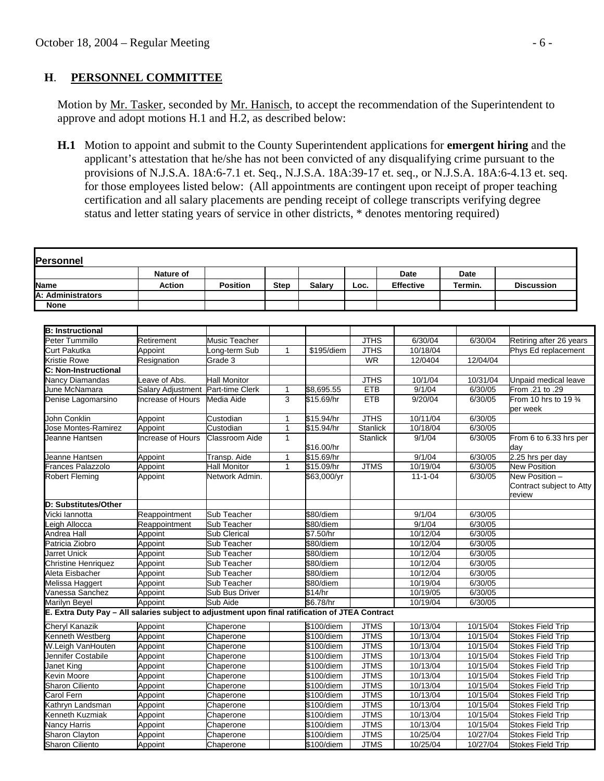#### **H**. **PERSONNEL COMMITTEE**

Motion by Mr. Tasker, seconded by Mr. Hanisch, to accept the recommendation of the Superintendent to approve and adopt motions H.1 and H.2, as described below:

 **H.1** Motion to appoint and submit to the County Superintendent applications for **emergent hiring** and the applicant's attestation that he/she has not been convicted of any disqualifying crime pursuant to the provisions of N.J.S.A. 18A:6-7.1 et. Seq., N.J.S.A. 18A:39-17 et. seq., or N.J.S.A. 18A:6-4.13 et. seq. for those employees listed below: (All appointments are contingent upon receipt of proper teaching certification and all salary placements are pending receipt of college transcripts verifying degree status and letter stating years of service in other districts, \* denotes mentoring required)

|                                                                                                 | Nature of                         |                       |              |               |                 | <b>Date</b>      | <b>Date</b> |                                                      |
|-------------------------------------------------------------------------------------------------|-----------------------------------|-----------------------|--------------|---------------|-----------------|------------------|-------------|------------------------------------------------------|
| Name                                                                                            | <b>Action</b>                     | <b>Position</b>       | <b>Step</b>  | <b>Salary</b> | Loc.            | <b>Effective</b> | Termin.     | <b>Discussion</b>                                    |
| A: Administrators                                                                               |                                   |                       |              |               |                 |                  |             |                                                      |
| <b>None</b>                                                                                     |                                   |                       |              |               |                 |                  |             |                                                      |
|                                                                                                 |                                   |                       |              |               |                 |                  |             |                                                      |
| <b>B: Instructional</b>                                                                         |                                   |                       |              |               |                 |                  |             |                                                      |
| Peter Tummillo                                                                                  | Retirement                        | Music Teacher         |              |               | <b>JTHS</b>     | 6/30/04          | 6/30/04     | Retiring after 26 years                              |
| Curt Pakutka                                                                                    | Appoint                           | ong-term Sub          | $\mathbf{1}$ | \$195/diem    | <b>JTHS</b>     | 10/18/04         |             | Phys Ed replacement                                  |
| Kristie Rowe                                                                                    | Resignation                       | Grade $3$             |              |               | <b>WR</b>       | 12/0404          | 12/04/04    |                                                      |
| C: Non-Instructional                                                                            |                                   |                       |              |               |                 |                  |             |                                                      |
| <b>Nancy Diamandas</b>                                                                          | Leave of Abs.                     | <b>Hall Monitor</b>   |              |               | <b>JTHS</b>     | 10/1/04          | 10/31/04    | Unpaid medical leave                                 |
| June McNamara                                                                                   | Salary Adjustment Part-time Clerk |                       | $\mathbf{1}$ | \$8,695.55    | <b>ETB</b>      | 9/1/04           | 6/30/05     | From .21 to .29                                      |
| Denise Lagomarsino                                                                              | Increase of Hours                 | Media Aide            | 3            | \$15.69/hr    | <b>ETB</b>      | 9/20/04          | 6/30/05     | From 10 hrs to 19 3/4<br>per week                    |
| John Conklin                                                                                    | Appoint                           | Custodian             | $\mathbf{1}$ | \$15.94/hr    | <b>JTHS</b>     | 10/11/04         | 6/30/05     |                                                      |
| Jose Montes-Ramirez                                                                             | Appoint                           | Custodian             | $\mathbf{1}$ | \$15.94/hr    | <b>Stanlick</b> | 10/18/04         | 6/30/05     |                                                      |
| Jeanne Hantsen                                                                                  | Increase of Hours                 | <b>Classroom Aide</b> | $\mathbf{1}$ | \$16.00/hr    | <b>Stanlick</b> | 9/1/04           | 6/30/05     | From 6 to 6.33 hrs per<br>dav                        |
| Jeanne Hantsen                                                                                  | Appoint                           | Transp. Aide          | $\mathbf{1}$ | \$15.69/hr    |                 | 9/1/04           | 6/30/05     | 2.25 hrs per day                                     |
| Frances Palazzolo                                                                               | Appoint                           | <b>Hall Monitor</b>   | $\mathbf{1}$ | \$15.09/hr    | <b>JTMS</b>     | 10/19/04         | 6/30/05     | <b>New Position</b>                                  |
| Robert Fleming                                                                                  | Appoint                           | Network Admin.        |              | \$63,000/yr   |                 | $11 - 1 - 04$    | 6/30/05     | New Position -<br>Contract subject to Atty<br>review |
| D: Substitutes/Other                                                                            |                                   |                       |              |               |                 |                  |             |                                                      |
| √icki lannotta                                                                                  | Reappointment                     | Sub Teacher           |              | \$80/diem     |                 | 9/1/04           | 6/30/05     |                                                      |
| eigh Allocca                                                                                    | Reappointment                     | Sub Teacher           |              | \$80/diem     |                 | 9/1/04           | 6/30/05     |                                                      |
| Andrea Hall                                                                                     | Appoint                           | Sub Clerical          |              | \$7.50/hr     |                 | 10/12/04         | 6/30/05     |                                                      |
| Patricia Ziobro                                                                                 | Appoint                           | Sub Teacher           |              | \$80/diem     |                 | 10/12/04         | 6/30/05     |                                                      |
| Jarret Unick                                                                                    | Appoint                           | Sub Teacher           |              | \$80/diem     |                 | 10/12/04         | 6/30/05     |                                                      |
| Christine Henriquez                                                                             | Appoint                           | Sub Teacher           |              | \$80/diem     |                 | 10/12/04         | 6/30/05     |                                                      |
| Aleta Eisbacher                                                                                 | Appoint                           | Sub Teacher           |              | \$80/diem     |                 | 10/12/04         | 6/30/05     |                                                      |
| Melissa Haggert                                                                                 | Appoint                           | Sub Teacher           |              | \$80/diem     |                 | 10/19/04         | 6/30/05     |                                                      |
| Vanessa Sanchez                                                                                 | Appoint                           | Sub Bus Driver        |              | \$14/hr       |                 | 10/19/05         | 6/30/05     |                                                      |
| Marilyn Beyel                                                                                   | Appoint                           | Sub Aide              |              | \$6.78/hr     |                 | 10/19/04         | 6/30/05     |                                                      |
| E. Extra Duty Pay - All salaries subject to adjustment upon final ratification of JTEA Contract |                                   |                       |              |               |                 |                  |             |                                                      |
| Cheryl Kanazik                                                                                  | Appoint                           | Chaperone             |              | \$100/diem    | <b>JTMS</b>     | 10/13/04         | 10/15/04    | <b>Stokes Field Trip</b>                             |
| <b>Cenneth Westberg</b>                                                                         | Appoint                           | Chaperone             |              | \$100/diem    | <b>JTMS</b>     | 10/13/04         | 10/15/04    | <b>Stokes Field Trip</b>                             |
| W.Leigh VanHouten                                                                               | Appoint                           | Chaperone             |              | \$100/diem    | <b>JTMS</b>     | 10/13/04         | 10/15/04    | Stokes Field Trip                                    |
| Jennifer Costabile                                                                              | Appoint                           | Chaperone             |              | \$100/diem    | <b>JTMS</b>     | 10/13/04         | 10/15/04    | <b>Stokes Field Trip</b>                             |
| Janet King                                                                                      | Appoint                           | Chaperone             |              | \$100/diem    | <b>JTMS</b>     | 10/13/04         | 10/15/04    | <b>Stokes Field Trip</b>                             |
| <b>Kevin Moore</b>                                                                              | Appoint                           | Chaperone             |              | \$100/diem    | <b>JTMS</b>     | 10/13/04         | 10/15/04    | <b>Stokes Field Trip</b>                             |
| Sharon Ciliento                                                                                 | Appoint                           | Chaperone             |              | \$100/diem    | <b>JTMS</b>     | 10/13/04         | 10/15/04    | <b>Stokes Field Trip</b>                             |
| Carol Fern                                                                                      | Appoint                           | Chaperone             |              | \$100/diem    | <b>JTMS</b>     | 10/13/04         | 10/15/04    | <b>Stokes Field Trip</b>                             |
| Kathryn Landsman                                                                                | Appoint                           | Chaperone             |              | \$100/diem    | <b>JTMS</b>     | 10/13/04         | 10/15/04    | <b>Stokes Field Trip</b>                             |
| <b>Cenneth Kuzmiak</b>                                                                          | Appoint                           | Chaperone             |              | \$100/diem    | <b>JTMS</b>     | 10/13/04         | 10/15/04    | <b>Stokes Field Trip</b>                             |
| <b>Nancy Harris</b>                                                                             | Appoint                           | Chaperone             |              | \$100/diem    | <b>JTMS</b>     | 10/13/04         | 10/15/04    | <b>Stokes Field Trip</b>                             |
| <b>Sharon Clayton</b>                                                                           | Appoint                           | Chaperone             |              | \$100/diem    | <b>JTMS</b>     | 10/25/04         | 10/27/04    | <b>Stokes Field Trip</b>                             |
| <b>Sharon Ciliento</b>                                                                          | Appoint                           | Chaperone             |              | \$100/diem    | <b>JTMS</b>     | 10/25/04         | 10/27/04    | <b>Stokes Field Trip</b>                             |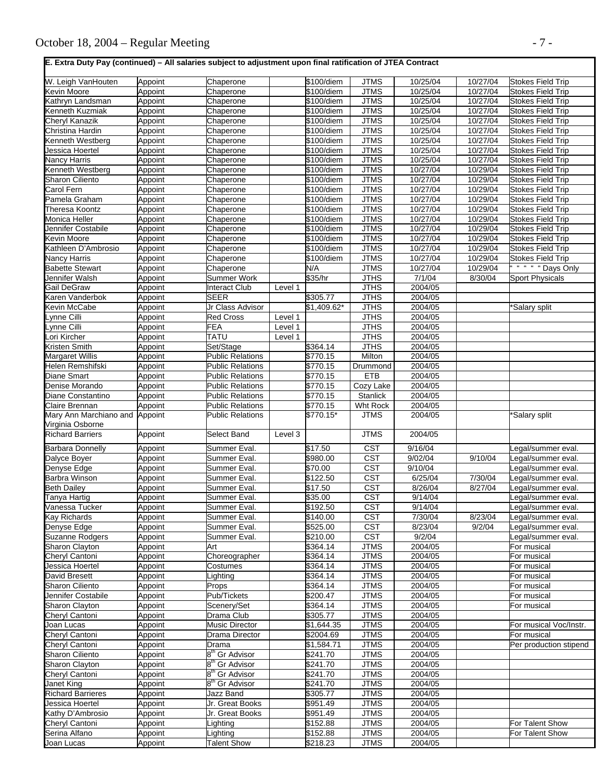**E. Extra Duty Pay (continued) – All salaries subject to adjustment upon final ratification of JTEA Contract** 

| W. Leigh VanHouten                          | Appoint | Chaperone                      |         | $$100$ /diem         | <b>JTMS</b>                | 10/25/04           | 10/27/04 | <b>Stokes Field Trip</b> |
|---------------------------------------------|---------|--------------------------------|---------|----------------------|----------------------------|--------------------|----------|--------------------------|
| Kevin Moore                                 | Appoint | Chaperone                      |         | \$100/diem           | <b>JTMS</b>                | 10/25/04           | 10/27/04 | <b>Stokes Field Trip</b> |
| Kathryn Landsman                            | Appoint | Chaperone                      |         | \$100/diem           | <b>JTMS</b>                | 10/25/04           | 10/27/04 | <b>Stokes Field Trip</b> |
| Kenneth Kuzmiak                             | Appoint | Chaperone                      |         | \$100/diem           | <b>JTMS</b>                | 10/25/04           | 10/27/04 | <b>Stokes Field Trip</b> |
| Cheryl Kanazik                              | Appoint | Chaperone                      |         | \$100/diem           | <b>JTMS</b>                | 10/25/04           | 10/27/04 | <b>Stokes Field Trip</b> |
| Christina Hardin                            | Appoint | Chaperone                      |         | \$100/diem           | <b>JTMS</b>                | 10/25/04           | 10/27/04 | <b>Stokes Field Trip</b> |
| Kenneth Westberg                            | Appoint | Chaperone                      |         | \$100/diem           | <b>JTMS</b>                | 10/25/04           | 10/27/04 | Stokes Field Trip        |
| Jessica Hoertel                             | Appoint | Chaperone                      |         | \$100/diem           | <b>JTMS</b>                | 10/25/04           | 10/27/04 | <b>Stokes Field Trip</b> |
| Nancy Harris                                | Appoint | Chaperone                      |         | \$100/diem           | <b>JTMS</b>                | 10/25/04           | 10/27/04 | <b>Stokes Field Trip</b> |
| Kenneth Westberg                            | Appoint | Chaperone                      |         | \$100/diem           | <b>JTMS</b>                | 10/27/04           | 10/29/04 | <b>Stokes Field Trip</b> |
| <b>Sharon Ciliento</b>                      | Appoint | Chaperone                      |         | \$100/diem           | <b>JTMS</b>                | 10/27/04           | 10/29/04 | <b>Stokes Field Trip</b> |
| Carol Fern                                  | Appoint | Chaperone                      |         | \$100/diem           | <b>JTMS</b>                | 10/27/04           | 10/29/04 | <b>Stokes Field Trip</b> |
| Pamela Graham                               | Appoint | Chaperone                      |         | \$100/diem           | <b>JTMS</b>                | 10/27/04           | 10/29/04 | <b>Stokes Field Trip</b> |
| Theresa Koontz                              | Appoint | Chaperone                      |         | \$100/diem           | <b>JTMS</b>                | 10/27/04           | 10/29/04 | Stokes Field Trip        |
| Monica Heller                               | Appoint | Chaperone                      |         | \$100/diem           | <b>JTMS</b>                | 10/27/04           | 10/29/04 | Stokes Field Trip        |
| Jennifer Costabile                          | Appoint | Chaperone                      |         | \$100/diem           | <b>JTMS</b>                | 10/27/04           | 10/29/04 | <b>Stokes Field Trip</b> |
| Kevin Moore                                 | Appoint | Chaperone                      |         | \$100/diem           | <b>JTMS</b>                | 10/27/04           | 10/29/04 | <b>Stokes Field Trip</b> |
| Kathleen D'Ambrosio                         | Appoint | Chaperone                      |         | \$100/diem           | <b>JTMS</b>                | 10/27/04           | 10/29/04 | <b>Stokes Field Trip</b> |
| Nancy Harris                                | Appoint | Chaperone                      |         | \$100/diem           | <b>JTMS</b>                | 10/27/04           | 10/29/04 | <b>Stokes Field Trip</b> |
| <b>Babette Stewart</b>                      | Appoint | Chaperone                      |         | N/A                  | <b>JTMS</b>                | 10/27/04           | 10/29/04 | " " " Days Only          |
| Jennifer Walsh                              | Appoint | <b>Summer Work</b>             |         | \$35/hr              | <b>JTHS</b>                | 7/1/04             | 8/30/04  | <b>Sport Physicals</b>   |
| Gail DeGraw                                 | Appoint | <b>Interact Club</b>           | Level 1 |                      | <b>JTHS</b>                | 2004/05            |          |                          |
| Karen Vanderbok                             | Appoint | <b>SEER</b>                    |         | \$305.77             | <b>JTHS</b>                | 2004/05            |          |                          |
| Kevin McCabe                                | Appoint | Jr Class Advisor               |         | \$1,409.62*          | <b>JTHS</b>                | 2004/05            |          | *Salary split            |
| _ynne Cilli                                 | Appoint | <b>Red Cross</b>               | Level 1 |                      | <b>JTHS</b>                | 2004/05            |          |                          |
| vnne Cilli                                  | Appoint | <b>FEA</b>                     | Level 1 |                      | <b>JTHS</b>                | 2004/05            |          |                          |
| ori Kircher                                 | Appoint | <b>TATU</b>                    | Level 1 |                      | <b>JTHS</b>                | 2004/05            |          |                          |
| Kristen Smith                               | Appoint | Set/Stage                      |         | \$364.14             | <b>JTHS</b>                | 2004/05            |          |                          |
| Margaret Willis                             | Appoint | <b>Public Relations</b>        |         | \$770.15             | Milton                     | 2004/05            |          |                          |
| Helen Remshifski                            | Appoint | <b>Public Relations</b>        |         | \$770.15             | Drummond                   | 2004/05            |          |                          |
| Diane Smart                                 | Appoint | <b>Public Relations</b>        |         | \$770.15             | <b>ETB</b>                 | 2004/05            |          |                          |
| Denise Morando                              | Appoint | <b>Public Relations</b>        |         | \$770.15             | Cozy Lake                  | 2004/05            |          |                          |
| Diane Constantino                           | Appoint | <b>Public Relations</b>        |         | \$770.15             | <b>Stanlick</b>            | 2004/05            |          |                          |
| Claire Brennan                              | Appoint | <b>Public Relations</b>        |         | \$770.15             | Wht Rock                   | 2004/05            |          |                          |
| Mary Ann Marchiano and                      | Appoint | <b>Public Relations</b>        |         | \$770.15*            | <b>JTMS</b>                | 2004/05            |          | *Salary split            |
| Virginia Osborne<br><b>Richard Barriers</b> | Appoint | Select Band                    | Level 3 |                      | <b>JTMS</b>                | 2004/05            |          |                          |
|                                             |         |                                |         |                      |                            |                    |          |                          |
|                                             |         |                                |         |                      |                            |                    |          |                          |
| <b>Barbara Donnelly</b>                     | Appoint | Summer Eval.                   |         | \$17.50              | $\overline{\text{CST}}$    | 9/16/04            |          | Legal/summer eval.       |
| Dalyce Boyer                                | Appoint | Summer Eval.                   |         | \$980.00             | <b>CST</b>                 | 9/02/04            | 9/10/04  | Legal/summer eval.       |
| Denyse Edge                                 | Appoint | Summer Eval.                   |         | \$70.00              | $\overline{\text{CST}}$    | 9/10/04            |          | Legal/summer eval.       |
| Barbra Winson                               | Appoint | Summer Eval.                   |         | \$122.50             | <b>CST</b>                 | 6/25/04            | 7/30/04  | egal/summer eval.        |
| <b>Beth Dailey</b>                          | Appoint | Summer Eval.                   |         | \$17.50              | <b>CST</b>                 | 8/26/04            | 8/27/04  | Legal/summer eval.       |
| Tanya Hartig                                | Appoint | Summer Eval.                   |         | \$35.00              | <b>CST</b>                 | 9/14/04            |          | Legal/summer eval.       |
| √anessa Tucker                              | Appoint | Summer Eval                    |         | \$192.50             | <b>CST</b>                 | 9/14/04            |          | egal/summer eval.        |
| Kay Richards                                | Appoint | Summer Eval.                   |         | \$140.00             | CST                        | 7/30/04            | 8/23/04  | Legal/summer eval.       |
| Denyse Edge                                 | Appoint | Summer Eval.                   |         | \$525.00             | <b>CST</b>                 | 8/23/04            | 9/2/04   | Legal/summer eval.       |
| Suzanne Rodgers                             | Appoint | Summer Eval.                   |         | \$210.00             | $\overline{\text{CST}}$    | 9/2/04             |          | Legal/summer eval.       |
| Sharon Clayton                              | Appoint | Art                            |         | \$364.14             | <b>JTMS</b>                | 2004/05            |          | For musical              |
| Cheryl Cantoni                              | Appoint | Choreographer                  |         | \$364.14             | <b>JTMS</b>                | 2004/05            |          | For musical              |
| Jessica Hoertel                             | Appoint | Costumes                       |         | \$364.14             | <b>JTMS</b>                | 2004/05            |          | For musical              |
| David Bresett                               | Appoint | .ighting                       |         | \$364.14             | <b>JTMS</b>                | 2004/05            |          | For musical              |
| Sharon Ciliento                             | Appoint | Props                          |         | \$364.14             | <b>JTMS</b>                | 2004/05            |          | For musical              |
| Jennifer Costabile                          | Appoint | Pub/Tickets                    |         | \$200.47             | <b>JTMS</b>                | 2004/05            |          | For musical              |
| <b>Sharon Clayton</b>                       | Appoint | Scenery/Set                    |         | \$364.14             | <b>JTMS</b>                | 2004/05            |          | For musical              |
| Cheryl Cantoni                              | Appoint | Drama Club                     |         | \$305.77             | <b>JTMS</b>                | 2004/05            |          |                          |
| Joan Lucas                                  | Appoint | <b>Music Director</b>          |         | \$1,644.35           | <b>JTMS</b>                | 2004/05            |          | For musical Voc/Instr.   |
| Cheryl Cantoni                              | Appoint | Drama Director                 |         | \$2004.69            | <b>JTMS</b>                | 2004/05            |          | For musical              |
| Cheryl Cantoni                              | Appoint | Drama                          |         | \$1,584.71           | <b>JTMS</b>                | 2004/05            |          | Per production stipend   |
| <b>Sharon Ciliento</b>                      | Appoint | 8 <sup>th</sup> Gr Advisor     |         | \$241.70             | <b>JTMS</b>                | 2004/05            |          |                          |
| Sharon Clayton                              | Appoint | 8 <sup>th</sup> Gr Advisor     |         | \$241.70             | <b>JTMS</b>                | 2004/05            |          |                          |
| Cheryl Cantoni                              | Appoint | 8"'<br><sup>'</sup> Gr Advisor |         | \$241.70             | <b>JTMS</b>                | 2004/05            |          |                          |
| Janet King                                  | Appoint | 8 <sup>th</sup> Gr Advisor     |         | \$241.70             | <b>JTMS</b>                | 2004/05            |          |                          |
| <b>Richard Barrieres</b>                    | Appoint | Jazz Band                      |         | \$305.77             | <b>JTMS</b>                | 2004/05            |          |                          |
| Jessica Hoertel                             | Appoint | Jr. Great Books                |         | \$951.49             | <b>JTMS</b>                | 2004/05            |          |                          |
| Kathy D'Ambrosio                            | Appoint | Jr. Great Books                |         | \$951.49             | <b>JTMS</b>                | 2004/05            |          |                          |
| Cheryl Cantoni                              | Appoint | Lighting                       |         | \$152.88             | <b>JTMS</b>                | 2004/05            |          | For Talent Show          |
| Serina Alfano<br>Joan Lucas                 | Appoint | Lighting<br><b>Talent Show</b> |         | \$152.88<br>\$218.23 | <b>JTMS</b><br><b>JTMS</b> | 2004/05<br>2004/05 |          | For Talent Show          |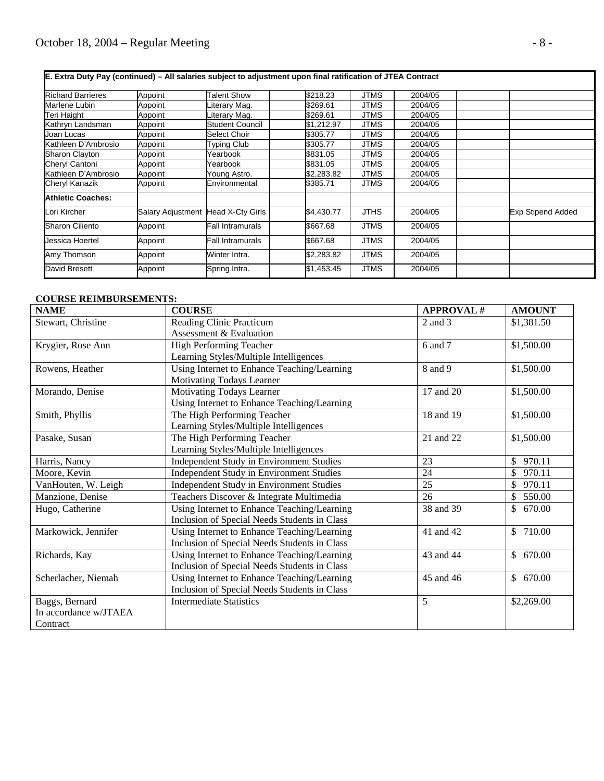| E. Extra Duty Pay (continued) – All salaries subject to adjustment upon final ratification of JTEA Contract |                                    |                    |            |             |         |                          |
|-------------------------------------------------------------------------------------------------------------|------------------------------------|--------------------|------------|-------------|---------|--------------------------|
| <b>Richard Barrieres</b>                                                                                    | Appoint                            | <b>Talent Show</b> | \$218.23   | JTMS        | 2004/05 |                          |
| Marlene Lubin                                                                                               | Appoint                            | Literary Mag.      | \$269.61   | JTMS        | 2004/05 |                          |
| Teri Haight                                                                                                 | Appoint                            | Literary Mag.      | \$269.61   | JTMS        | 2004/05 |                          |
| Kathryn Landsman                                                                                            | Appoint                            | Student Council    | \$1,212.97 | JTMS        | 2004/05 |                          |
| Joan Lucas                                                                                                  | Appoint                            | Select Choir       | \$305.77   | <b>JTMS</b> | 2004/05 |                          |
| Kathleen D'Ambrosio                                                                                         | Appoint                            | Typing Club        | \$305.77   | JTMS        | 2004/05 |                          |
| Sharon Clayton                                                                                              | Appoint                            | Yearbook           | \$831.05   | JTMS        | 2004/05 |                          |
| Cheryl Cantoni                                                                                              | Appoint                            | Yearbook           | \$831.05   | JTMS        | 2004/05 |                          |
| Kathleen D'Ambrosio                                                                                         | Appoint                            | Young Astro.       | \$2,283.82 | JTMS        | 2004/05 |                          |
| Cheryl Kanazik                                                                                              | Appoint                            | Environmental      | \$385.71   | <b>JTMS</b> | 2004/05 |                          |
| <b>Athletic Coaches:</b>                                                                                    |                                    |                    |            |             |         |                          |
| Lori Kircher                                                                                                | Salary Adjustment Head X-Cty Girls |                    | \$4,430.77 | <b>JTHS</b> | 2004/05 | <b>Exp Stipend Added</b> |
| Sharon Ciliento                                                                                             | Appoint                            | Fall Intramurals   | \$667.68   | <b>JTMS</b> | 2004/05 |                          |
| Jessica Hoertel                                                                                             | Appoint                            | Fall Intramurals   | \$667.68   | <b>JTMS</b> | 2004/05 |                          |
| Amy Thomson                                                                                                 | Appoint                            | Winter Intra.      | \$2,283.82 | <b>JTMS</b> | 2004/05 |                          |
| David Bresett                                                                                               | Appoint                            | Spring Intra.      | \$1,453.45 | <b>JTMS</b> | 2004/05 |                          |

#### **COURSE REIMBURSEMENTS:**

| <b>NAME</b>           | <b>COURSE</b>                                   | <b>APPROVAL#</b> | <b>AMOUNT</b>            |
|-----------------------|-------------------------------------------------|------------------|--------------------------|
| Stewart, Christine    | Reading Clinic Practicum                        | 2 and 3          | \$1,381.50               |
|                       | Assessment & Evaluation                         |                  |                          |
| Krygier, Rose Ann     | High Performing Teacher                         | 6 and 7          | \$1,500.00               |
|                       | Learning Styles/Multiple Intelligences          |                  |                          |
| Rowens, Heather       | Using Internet to Enhance Teaching/Learning     | 8 and 9          | \$1,500.00               |
|                       | Motivating Todays Learner                       |                  |                          |
| Morando, Denise       | Motivating Todays Learner                       | 17 and 20        | \$1,500.00               |
|                       | Using Internet to Enhance Teaching/Learning     |                  |                          |
| Smith, Phyllis        | The High Performing Teacher                     | 18 and 19        | \$1,500.00               |
|                       | Learning Styles/Multiple Intelligences          |                  |                          |
| Pasake, Susan         | The High Performing Teacher                     | 21 and 22        | \$1,500.00               |
|                       | Learning Styles/Multiple Intelligences          |                  |                          |
| Harris, Nancy         | Independent Study in Environment Studies        | 23               | $\mathbb{S}$<br>970.11   |
| Moore, Kevin          | Independent Study in Environment Studies        | 24               | $\mathbb{S}$<br>970.11   |
| VanHouten, W. Leigh   | <b>Independent Study in Environment Studies</b> | 25               | 970.11<br>$\mathbb{S}^-$ |
| Manzione, Denise      | Teachers Discover & Integrate Multimedia        | 26               | \$<br>550.00             |
| Hugo, Catherine       | Using Internet to Enhance Teaching/Learning     | 38 and 39        | 670.00<br>$\mathbb{S}$   |
|                       | Inclusion of Special Needs Students in Class    |                  |                          |
| Markowick, Jennifer   | Using Internet to Enhance Teaching/Learning     | 41 and 42        | \$710.00                 |
|                       | Inclusion of Special Needs Students in Class    |                  |                          |
| Richards, Kay         | Using Internet to Enhance Teaching/Learning     | 43 and 44        | \$670.00                 |
|                       | Inclusion of Special Needs Students in Class    |                  |                          |
| Scherlacher, Niemah   | Using Internet to Enhance Teaching/Learning     | 45 and 46        | \$670.00                 |
|                       | Inclusion of Special Needs Students in Class    |                  |                          |
| Baggs, Bernard        | <b>Intermediate Statistics</b>                  | 5                | \$2,269.00               |
| In accordance w/JTAEA |                                                 |                  |                          |
| Contract              |                                                 |                  |                          |

┑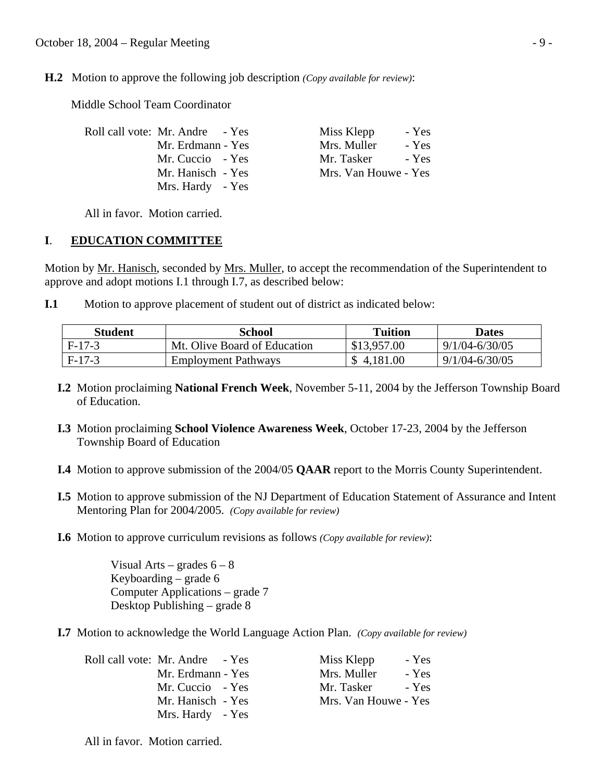**H.2** Motion to approve the following job description *(Copy available for review)*:

Middle School Team Coordinator

| Roll call vote: Mr. Andre - Yes | Miss Klepp<br>- Yes  |
|---------------------------------|----------------------|
| Mr. Erdmann - Yes               | Mrs. Muller<br>- Yes |
| Mr. Cuccio - Yes                | Mr. Tasker<br>- Yes  |
| Mr. Hanisch - Yes               | Mrs. Van Houwe - Yes |
| Mrs. Hardy - Yes                |                      |

All in favor. Motion carried.

## **I**. **EDUCATION COMMITTEE**

Motion by Mr. Hanisch, seconded by Mrs. Muller, to accept the recommendation of the Superintendent to approve and adopt motions I.1 through I.7, as described below:

**I.1** Motion to approve placement of student out of district as indicated below:

| Student  | School                       | <b>Tuition</b> | <b>Dates</b>       |
|----------|------------------------------|----------------|--------------------|
| F-17-3   | Mt. Olive Board of Education | \$13,957.00    | $9/1/04 - 6/30/05$ |
| $F-17-3$ | <b>Employment Pathways</b>   | \$4,181.00     | $9/1/04 - 6/30/05$ |

- **I.2** Motion proclaiming **National French Week**, November 5-11, 2004 by the Jefferson Township Board of Education.
- **I.3** Motion proclaiming **School Violence Awareness Week**, October 17-23, 2004 by the Jefferson Township Board of Education
- **I.4** Motion to approve submission of the 2004/05 **QAAR** report to the Morris County Superintendent.
- **I.5** Motion to approve submission of the NJ Department of Education Statement of Assurance and Intent Mentoring Plan for 2004/2005. *(Copy available for review)*

Miss Klepp - Yes Mrs. Muller - Yes Mr. Tasker - Yes Mrs. Van Houwe - Yes

 **I.6** Motion to approve curriculum revisions as follows *(Copy available for review)*:

Visual Arts – grades  $6 - 8$  Keyboarding – grade 6 Computer Applications – grade 7 Desktop Publishing – grade 8

**I.7** Motion to acknowledge the World Language Action Plan. *(Copy available for review)*

| Roll call vote: Mr. Andre - Yes |
|---------------------------------|
| Mr. Erdmann - Yes               |
| Mr. Cuccio - Yes                |
| Mr. Hanisch - Yes               |
| Mrs. Hardy - Yes                |

All in favor. Motion carried.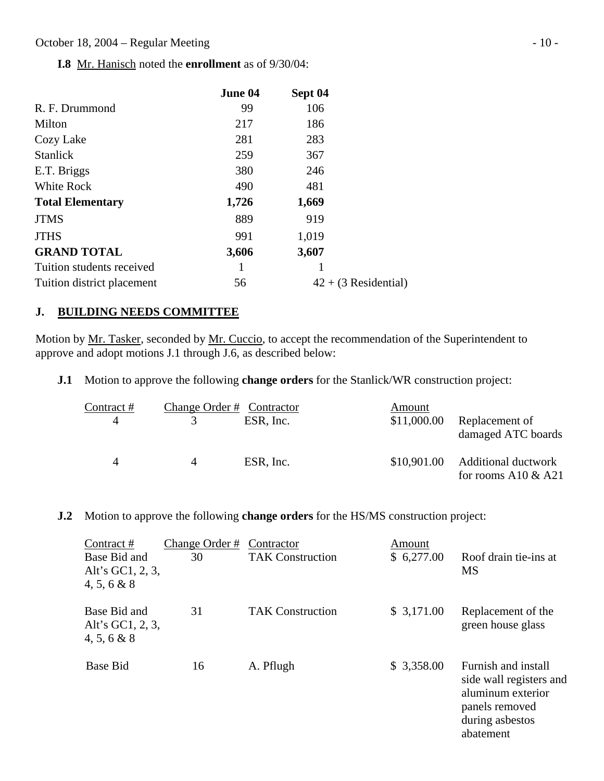**I.8** Mr. Hanisch noted the **enrollment** as of 9/30/04:

|                            | June 04 | Sept 04                |
|----------------------------|---------|------------------------|
| R. F. Drummond             | 99      | 106                    |
| Milton                     | 217     | 186                    |
| Cozy Lake                  | 281     | 283                    |
| <b>Stanlick</b>            | 259     | 367                    |
| E.T. Briggs                | 380     | 246                    |
| White Rock                 | 490     | 481                    |
| <b>Total Elementary</b>    | 1,726   | 1,669                  |
| <b>JTMS</b>                | 889     | 919                    |
| <b>JTHS</b>                | 991     | 1,019                  |
| <b>GRAND TOTAL</b>         | 3,606   | 3,607                  |
| Tuition students received  |         |                        |
| Tuition district placement | 56      | $42 + (3$ Residential) |

## **J. BUILDING NEEDS COMMITTEE**

Motion by Mr. Tasker, seconded by Mr. Cuccio, to accept the recommendation of the Superintendent to approve and adopt motions J.1 through J.6, as described below:

**J.1** Motion to approve the following **change orders** for the Stanlick/WR construction project:

| Contract # | Change Order # Contractor |           | Amount      |                                                      |
|------------|---------------------------|-----------|-------------|------------------------------------------------------|
|            |                           | ESR, Inc. | \$11,000.00 | Replacement of<br>damaged ATC boards                 |
|            | 4                         | ESR, Inc. | \$10,901.00 | <b>Additional ductwork</b><br>for rooms A10 $\&$ A21 |

**J.2** Motion to approve the following **change orders** for the HS/MS construction project:

| Contract #<br>Base Bid and<br>Alt's GC1, 2, 3,<br>$4, 5, 6 \& 8$ | Change Order #<br>30 | Contractor<br><b>TAK Construction</b> | Amount<br>\$6,277.00 | Roof drain tie-ins at<br><b>MS</b>                                                                                    |
|------------------------------------------------------------------|----------------------|---------------------------------------|----------------------|-----------------------------------------------------------------------------------------------------------------------|
| Base Bid and<br>Alt's GC1, 2, 3,<br>$4, 5, 6 \& 8$               | 31                   | <b>TAK Construction</b>               | \$3,171.00           | Replacement of the<br>green house glass                                                                               |
| <b>Base Bid</b>                                                  | 16                   | A. Pflugh                             | \$3,358.00           | Furnish and install<br>side wall registers and<br>aluminum exterior<br>panels removed<br>during asbestos<br>abatement |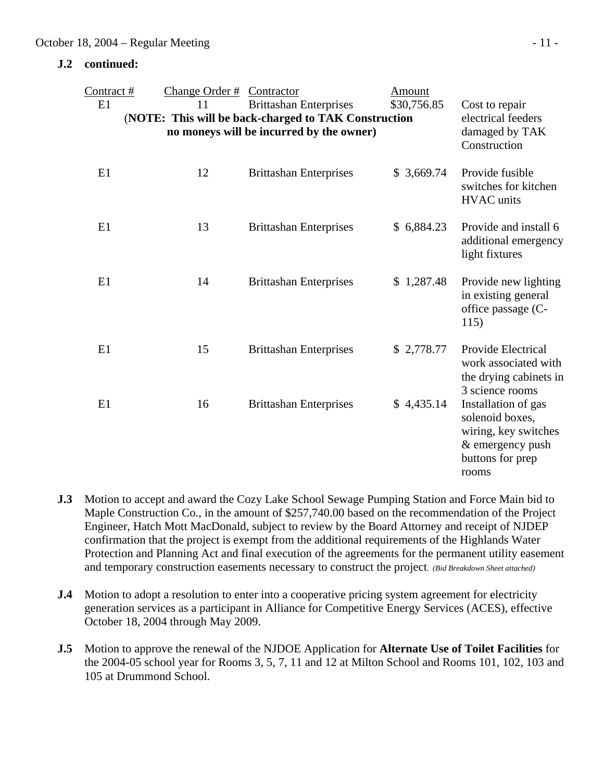#### **J.2 continued:**

| Contract#                                            | Change Order#      | Contractor                               | Amount      |                                                                                                                 |
|------------------------------------------------------|--------------------|------------------------------------------|-------------|-----------------------------------------------------------------------------------------------------------------|
| E1                                                   | 11                 | <b>Brittashan Enterprises</b>            | \$30,756.85 | Cost to repair                                                                                                  |
| (NOTE: This will be back-charged to TAK Construction | electrical feeders |                                          |             |                                                                                                                 |
|                                                      |                    | no moneys will be incurred by the owner) |             | damaged by TAK<br>Construction                                                                                  |
| E1                                                   | 12                 | <b>Brittashan Enterprises</b>            | \$3,669.74  | Provide fusible<br>switches for kitchen<br><b>HVAC</b> units                                                    |
| E1                                                   | 13                 | <b>Brittashan Enterprises</b>            | \$6,884.23  | Provide and install 6<br>additional emergency<br>light fixtures                                                 |
| E1                                                   | 14                 | <b>Brittashan Enterprises</b>            | \$1,287.48  | Provide new lighting<br>in existing general<br>office passage (C-<br>115)                                       |
| E1                                                   | 15                 | <b>Brittashan Enterprises</b>            | \$2,778.77  | Provide Electrical<br>work associated with<br>the drying cabinets in<br>3 science rooms                         |
| E1                                                   | 16                 | <b>Brittashan Enterprises</b>            | \$4,435.14  | Installation of gas<br>solenoid boxes,<br>wiring, key switches<br>& emergency push<br>buttons for prep<br>rooms |

- **J.3** Motion to accept and award the Cozy Lake School Sewage Pumping Station and Force Main bid to Maple Construction Co., in the amount of \$257,740.00 based on the recommendation of the Project Engineer, Hatch Mott MacDonald, subject to review by the Board Attorney and receipt of NJDEP confirmation that the project is exempt from the additional requirements of the Highlands Water Protection and Planning Act and final execution of the agreements for the permanent utility easement and temporary construction easements necessary to construct the project*. (Bid Breakdown Sheet attached)*
- **J.4** Motion to adopt a resolution to enter into a cooperative pricing system agreement for electricity generation services as a participant in Alliance for Competitive Energy Services (ACES), effective October 18, 2004 through May 2009.
- **J.5** Motion to approve the renewal of the NJDOE Application for **Alternate Use of Toilet Facilities** for the 2004-05 school year for Rooms 3, 5, 7, 11 and 12 at Milton School and Rooms 101, 102, 103 and 105 at Drummond School.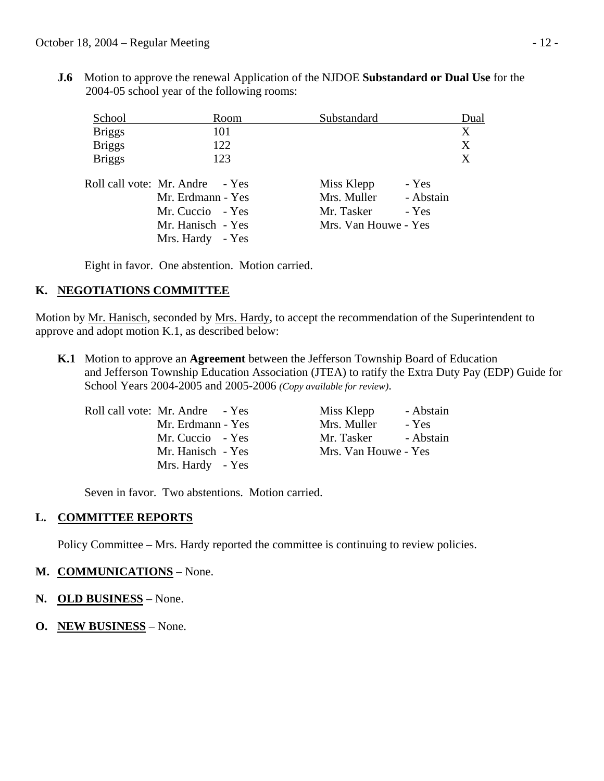**J.6** Motion to approve the renewal Application of the NJDOE **Substandard or Dual Use** for the 2004-05 school year of the following rooms:

| School        | Room                                                                                                              | Substandard                                                     |                             | Dual |
|---------------|-------------------------------------------------------------------------------------------------------------------|-----------------------------------------------------------------|-----------------------------|------|
| <b>Briggs</b> | 101                                                                                                               |                                                                 |                             | X    |
| <b>Briggs</b> | 122                                                                                                               |                                                                 |                             | X    |
| <b>Briggs</b> | 123                                                                                                               |                                                                 |                             | X    |
|               | Roll call vote: Mr. Andre - Yes<br>Mr. Erdmann - Yes<br>Mr. Cuccio - Yes<br>Mr. Hanisch - Yes<br>Mrs. Hardy - Yes | Miss Klepp<br>Mrs. Muller<br>Mr. Tasker<br>Mrs. Van Houwe - Yes | - Yes<br>- Abstain<br>- Yes |      |

Eight in favor. One abstention. Motion carried.

## **K. NEGOTIATIONS COMMITTEE**

Motion by Mr. Hanisch, seconded by Mrs. Hardy, to accept the recommendation of the Superintendent to approve and adopt motion K.1, as described below:

 **K.1** Motion to approve an **Agreement** between the Jefferson Township Board of Education and Jefferson Township Education Association (JTEA) to ratify the Extra Duty Pay (EDP) Guide for School Years 2004-2005 and 2005-2006 *(Copy available for review)*.

| Roll call vote: Mr. Andre - Yes |
|---------------------------------|
| Mr. Erdmann - Yes               |
| Mr. Cuccio - Yes                |
| Mr. Hanisch - Yes               |
| Mrs. Hardy - Yes                |
|                                 |

Miss Klepp - Abstain Mrs. Muller - Yes Mr. Tasker - Abstain Mrs. Van Houwe - Yes

Seven in favor. Two abstentions. Motion carried.

## **L. COMMITTEE REPORTS**

Policy Committee – Mrs. Hardy reported the committee is continuing to review policies.

### **M. COMMUNICATIONS** – None.

- **N. OLD BUSINESS** None.
- **O. NEW BUSINESS** None.